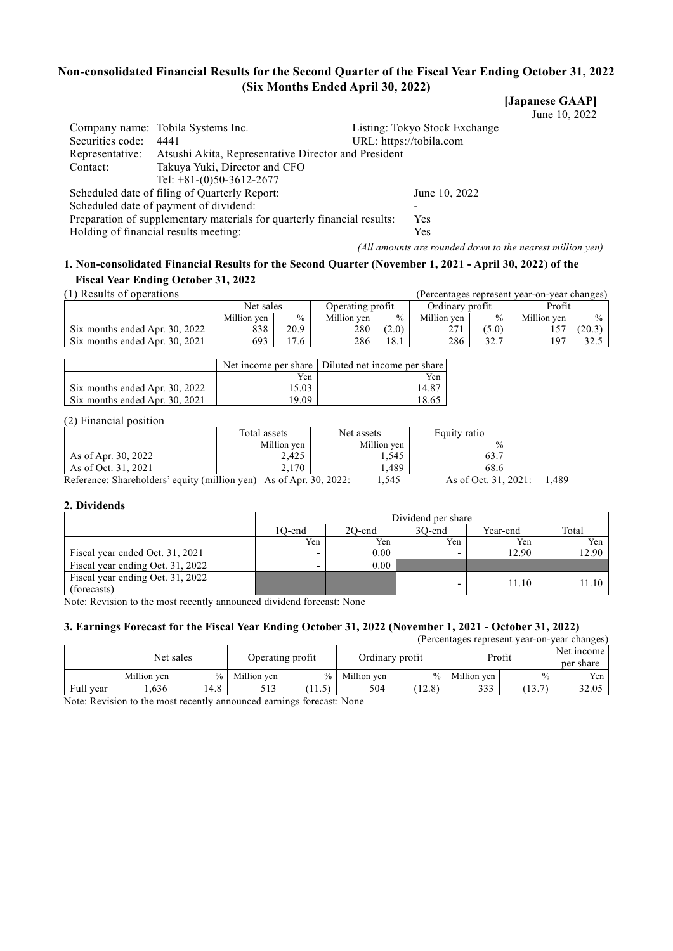# **Non-consolidated Financial Results for the Second Quarter of the Fiscal Year Ending October 31, 2022 (Six Months Ended April 30, 2022)**

**[Japanese GAAP]**

June 10, 2022

| Securities code:                                                        | Company name: Tobila Systems Inc.<br>4441            | URL: https://tobila.com | Listing: Tokyo Stock Exchange |  |  |
|-------------------------------------------------------------------------|------------------------------------------------------|-------------------------|-------------------------------|--|--|
| Representative:                                                         | Atsushi Akita, Representative Director and President |                         |                               |  |  |
| Contact:                                                                | Takuya Yuki, Director and CFO                        |                         |                               |  |  |
|                                                                         | Tel: $+81-(0)50-3612-2677$                           |                         |                               |  |  |
|                                                                         | Scheduled date of filing of Quarterly Report:        |                         | June 10, 2022                 |  |  |
|                                                                         | Scheduled date of payment of dividend:               |                         |                               |  |  |
| Preparation of supplementary materials for quarterly financial results: |                                                      | Yes                     |                               |  |  |
|                                                                         | Holding of financial results meeting:                |                         | Yes                           |  |  |
|                                                                         |                                                      |                         |                               |  |  |

*(All amounts are rounded down to the nearest million yen)*

# **1. Non-consolidated Financial Results for the Second Quarter (November 1, 2021 - April 30, 2022) of the Fiscal Year Ending October 31, 2022**

|  | (1) Results of operations |  |
|--|---------------------------|--|
|--|---------------------------|--|

| (1) Results of operations      |                               |      |             |               |                 |               | (Percentages represent year-on-year changes) |        |
|--------------------------------|-------------------------------|------|-------------|---------------|-----------------|---------------|----------------------------------------------|--------|
|                                | Net sales<br>Operating profit |      |             |               | Ordinary profit |               | Profit                                       |        |
|                                | Million ven                   | $\%$ | Million ven | $\frac{0}{0}$ | Million ven     | $\frac{0}{0}$ | Million ven                                  | $\%$   |
| Six months ended Apr. 30, 2022 | 838                           | 20.9 | 280         | (2.0)         | 271             | (5.0)         | 157                                          | (20.3) |
| Six months ended Apr. 30, 2021 | 693                           | .7.6 | 286         | 18.1          | 286             | 227           | 197                                          |        |

|                                |       | Net income per share Diluted net income per share |
|--------------------------------|-------|---------------------------------------------------|
|                                | Yen   | Yen                                               |
| Six months ended Apr. 30, 2022 | 15.03 | 14.87                                             |
| Six months ended Apr. 30, 2021 | 19.09 | 18.65                                             |

# (2) Financial position

|                                                                    | Total assets | Net assets  | Equity ratio         |      |
|--------------------------------------------------------------------|--------------|-------------|----------------------|------|
|                                                                    | Million yen  | Million yen | $\frac{0}{0}$        |      |
| As of Apr. 30, 2022                                                | 2,425        | 1,545       | 63.7                 |      |
| As of Oct. 31, 2021                                                | 2.170        | .489        | 68.6                 |      |
| Reference: Shareholders' equity (million yen) As of Apr. 30, 2022: |              | 1.545       | As of Oct. 31, 2021: | .489 |

# **2. Dividends**

|                                                 | Dividend per share |                                       |     |       |           |  |  |  |  |
|-------------------------------------------------|--------------------|---------------------------------------|-----|-------|-----------|--|--|--|--|
|                                                 | 1O-end             | Total<br>30-end<br>2O-end<br>Year-end |     |       |           |  |  |  |  |
|                                                 | Yen                | Yen                                   | Yen | Yen   | Yen       |  |  |  |  |
| Fiscal year ended Oct. 31, 2021                 |                    | 0.00                                  | -   | 12.90 | 12.90     |  |  |  |  |
| Fiscal year ending Oct. 31, 2022                |                    | 0.00                                  |     |       |           |  |  |  |  |
| Fiscal year ending Oct. 31, 2022<br>(forecasts) |                    |                                       |     | 11.10 | $11.10$ 1 |  |  |  |  |

Note: Revision to the most recently announced dividend forecast: None

# **3. Earnings Forecast for the Fiscal Year Ending October 31, 2022 (November 1, 2021 - October 31, 2022)**

| (Percentages represent year-on-year changes) |             |           |             |                  |                 |        |               |        |                         |
|----------------------------------------------|-------------|-----------|-------------|------------------|-----------------|--------|---------------|--------|-------------------------|
|                                              |             | Net sales |             | Operating profit | Ordinary profit |        | Profit        |        | Net income<br>per share |
|                                              | Million yen | $\%$      | Million ven | $\frac{0}{0}$    | Million ven     |        | % Million yen | $\%$   | Yen                     |
| Full year                                    | .636        | l 4.8     | 513         | $\sim$           | 504             | (12.8) | 333           | (13.7) | 32.05                   |

Note: Revision to the most recently announced earnings forecast: None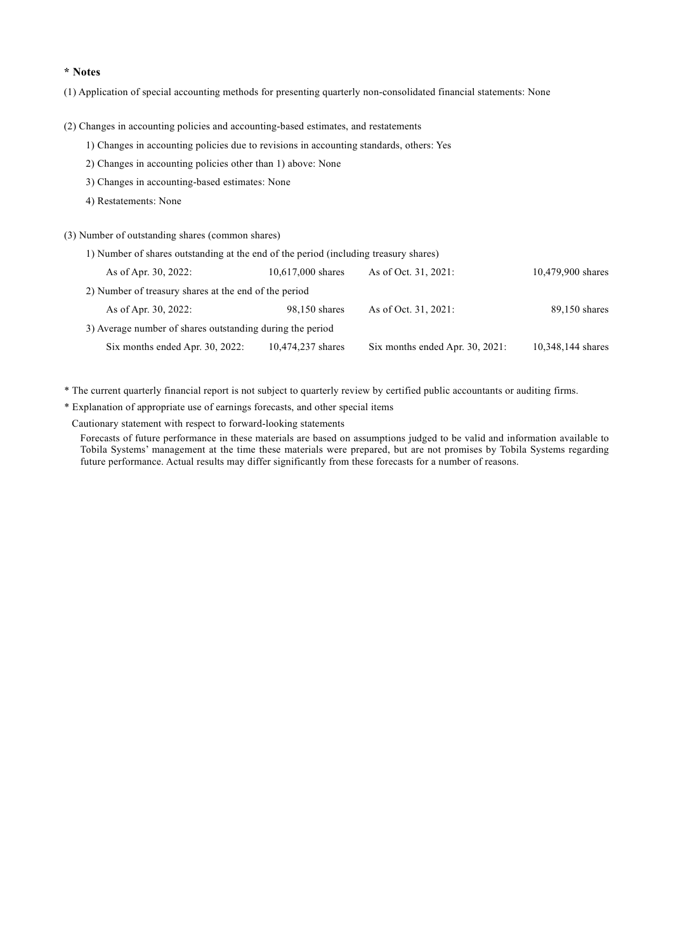# **\* Notes**

(1) Application of special accounting methods for presenting quarterly non-consolidated financial statements: None

(2) Changes in accounting policies and accounting-based estimates, and restatements

- 1) Changes in accounting policies due to revisions in accounting standards, others: Yes
- 2) Changes in accounting policies other than 1) above: None
- 3) Changes in accounting-based estimates: None
- 4) Restatements: None

(3) Number of outstanding shares (common shares)

1) Number of shares outstanding at the end of the period (including treasury shares)

| As of Apr. 30, 2022:                                      | $10,617,000$ shares | As of Oct. 31, 2021:               | 10,479,900 shares |
|-----------------------------------------------------------|---------------------|------------------------------------|-------------------|
| 2) Number of treasury shares at the end of the period     |                     |                                    |                   |
| As of Apr. 30, 2022:                                      | 98,150 shares       | As of Oct. 31, 2021:               | 89,150 shares     |
| 3) Average number of shares outstanding during the period |                     |                                    |                   |
| Six months ended Apr. 30, 2022:                           | 10,474,237 shares   | Six months ended Apr. $30, 2021$ : | 10,348,144 shares |
|                                                           |                     |                                    |                   |

\* The current quarterly financial report is not subject to quarterly review by certified public accountants or auditing firms.

\* Explanation of appropriate use of earnings forecasts, and other special items

Cautionary statement with respect to forward-looking statements

Forecasts of future performance in these materials are based on assumptions judged to be valid and information available to Tobila Systems' management at the time these materials were prepared, but are not promises by Tobila Systems regarding future performance. Actual results may differ significantly from these forecasts for a number of reasons.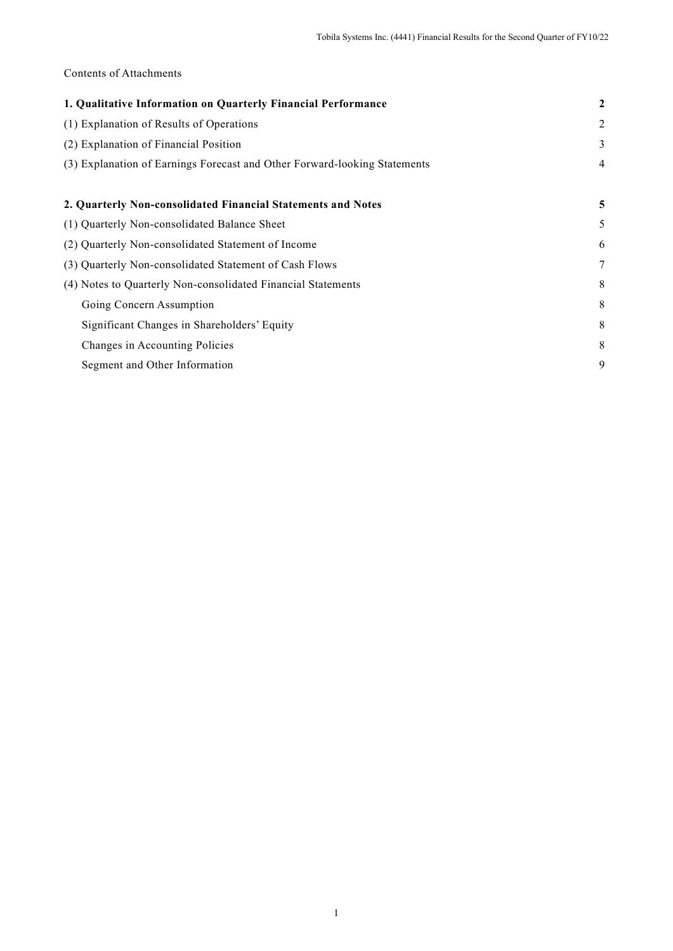# Contents of Attachments

| 1. Qualitative Information on Quarterly Financial Performance             | $\overline{2}$ |
|---------------------------------------------------------------------------|----------------|
| (1) Explanation of Results of Operations                                  | $\overline{c}$ |
| (2) Explanation of Financial Position                                     | 3              |
| (3) Explanation of Earnings Forecast and Other Forward-looking Statements | $\overline{4}$ |
|                                                                           |                |
| 2. Quarterly Non-consolidated Financial Statements and Notes              | 5              |
| (1) Quarterly Non-consolidated Balance Sheet                              | 5              |
| (2) Quarterly Non-consolidated Statement of Income                        | 6              |
| (3) Quarterly Non-consolidated Statement of Cash Flows                    | 7              |
| (4) Notes to Quarterly Non-consolidated Financial Statements              | 8              |
| Going Concern Assumption                                                  | 8              |
| Significant Changes in Shareholders' Equity                               | 8              |
| Changes in Accounting Policies                                            | 8              |
| Segment and Other Information                                             | 9              |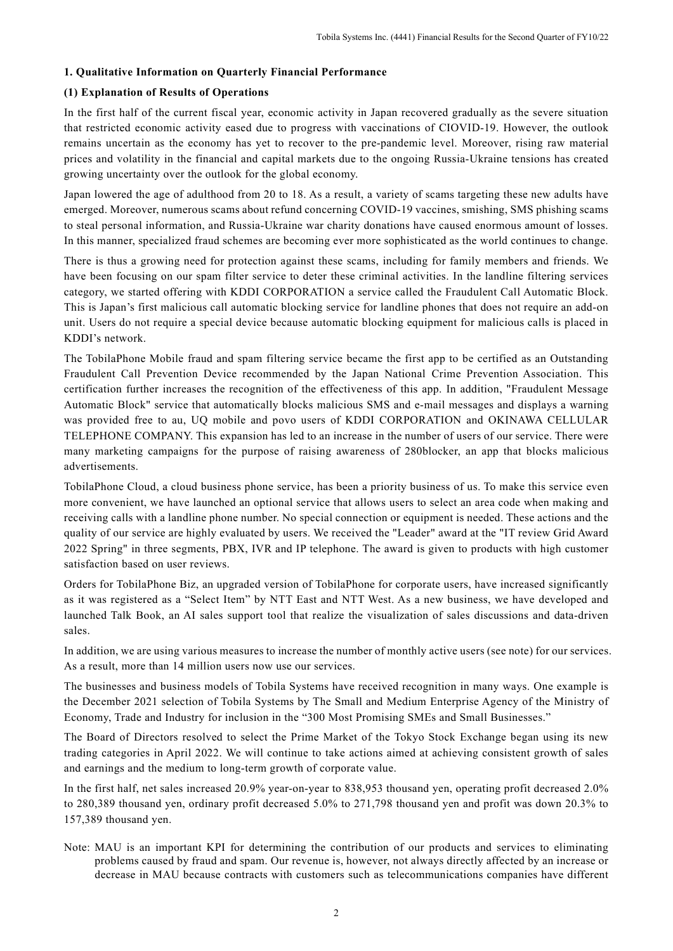# **1. Qualitative Information on Quarterly Financial Performance**

# **(1) Explanation of Results of Operations**

In the first half of the current fiscal year, economic activity in Japan recovered gradually as the severe situation that restricted economic activity eased due to progress with vaccinations of CIOVID-19. However, the outlook remains uncertain as the economy has yet to recover to the pre-pandemic level. Moreover, rising raw material prices and volatility in the financial and capital markets due to the ongoing Russia-Ukraine tensions has created growing uncertainty over the outlook for the global economy.

Japan lowered the age of adulthood from 20 to 18. As a result, a variety of scams targeting these new adults have emerged. Moreover, numerous scams about refund concerning COVID-19 vaccines, smishing, SMS phishing scams to steal personal information, and Russia-Ukraine war charity donations have caused enormous amount of losses. In this manner, specialized fraud schemes are becoming ever more sophisticated as the world continues to change.

There is thus a growing need for protection against these scams, including for family members and friends. We have been focusing on our spam filter service to deter these criminal activities. In the landline filtering services category, we started offering with KDDI CORPORATION a service called the Fraudulent Call Automatic Block. This is Japan's first malicious call automatic blocking service for landline phones that does not require an add-on unit. Users do not require a special device because automatic blocking equipment for malicious calls is placed in KDDI's network.

The TobilaPhone Mobile fraud and spam filtering service became the first app to be certified as an Outstanding Fraudulent Call Prevention Device recommended by the Japan National Crime Prevention Association. This certification further increases the recognition of the effectiveness of this app. In addition, "Fraudulent Message Automatic Block" service that automatically blocks malicious SMS and e-mail messages and displays a warning was provided free to au, UQ mobile and povo users of KDDI CORPORATION and OKINAWA CELLULAR TELEPHONE COMPANY. This expansion has led to an increase in the number of users of our service. There were many marketing campaigns for the purpose of raising awareness of 280blocker, an app that blocks malicious advertisements.

TobilaPhone Cloud, a cloud business phone service, has been a priority business of us. To make this service even more convenient, we have launched an optional service that allows users to select an area code when making and receiving calls with a landline phone number. No special connection or equipment is needed. These actions and the quality of our service are highly evaluated by users. We received the "Leader" award at the "IT review Grid Award 2022 Spring" in three segments, PBX, IVR and IP telephone. The award is given to products with high customer satisfaction based on user reviews.

Orders for TobilaPhone Biz, an upgraded version of TobilaPhone for corporate users, have increased significantly as it was registered as a "Select Item" by NTT East and NTT West. As a new business, we have developed and launched Talk Book, an AI sales support tool that realize the visualization of sales discussions and data-driven sales.

In addition, we are using various measures to increase the number of monthly active users (see note) for our services. As a result, more than 14 million users now use our services.

The businesses and business models of Tobila Systems have received recognition in many ways. One example is the December 2021 selection of Tobila Systems by The Small and Medium Enterprise Agency of the Ministry of Economy, Trade and Industry for inclusion in the "300 Most Promising SMEs and Small Businesses."

The Board of Directors resolved to select the Prime Market of the Tokyo Stock Exchange began using its new trading categories in April 2022. We will continue to take actions aimed at achieving consistent growth of sales and earnings and the medium to long-term growth of corporate value.

In the first half, net sales increased 20.9% year-on-year to 838,953 thousand yen, operating profit decreased 2.0% to 280,389 thousand yen, ordinary profit decreased 5.0% to 271,798 thousand yen and profit was down 20.3% to 157,389 thousand yen.

Note: MAU is an important KPI for determining the contribution of our products and services to eliminating problems caused by fraud and spam. Our revenue is, however, not always directly affected by an increase or decrease in MAU because contracts with customers such as telecommunications companies have different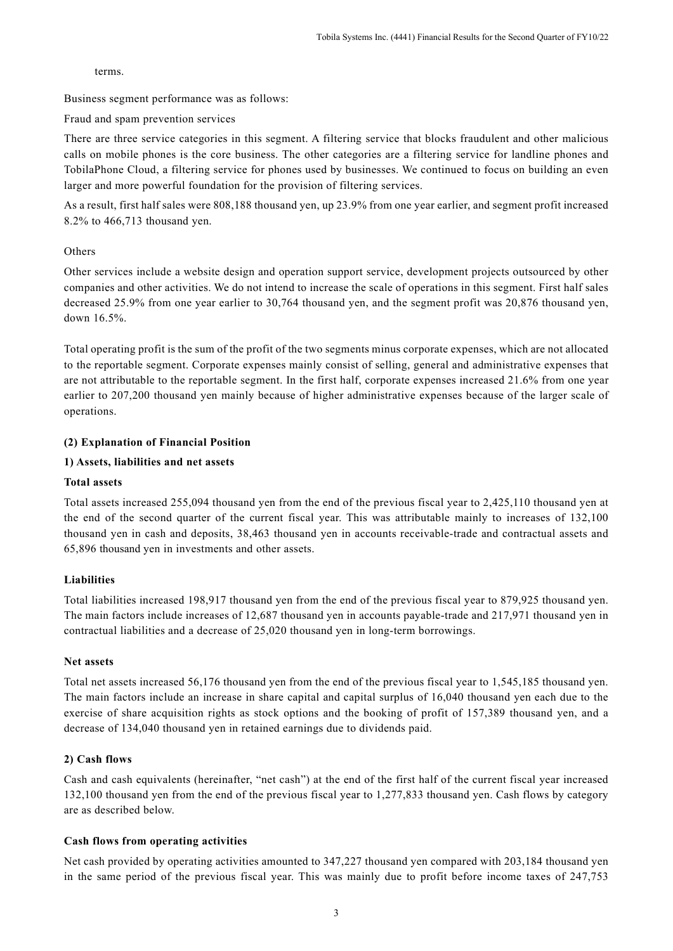terms.

Business segment performance was as follows:

Fraud and spam prevention services

There are three service categories in this segment. A filtering service that blocks fraudulent and other malicious calls on mobile phones is the core business. The other categories are a filtering service for landline phones and TobilaPhone Cloud, a filtering service for phones used by businesses. We continued to focus on building an even larger and more powerful foundation for the provision of filtering services.

As a result, first half sales were 808,188 thousand yen, up 23.9% from one year earlier, and segment profit increased 8.2% to 466,713 thousand yen.

# Others

Other services include a website design and operation support service, development projects outsourced by other companies and other activities. We do not intend to increase the scale of operations in this segment. First half sales decreased 25.9% from one year earlier to 30,764 thousand yen, and the segment profit was 20,876 thousand yen, down 16.5%.

Total operating profit is the sum of the profit of the two segments minus corporate expenses, which are not allocated to the reportable segment. Corporate expenses mainly consist of selling, general and administrative expenses that are not attributable to the reportable segment. In the first half, corporate expenses increased 21.6% from one year earlier to 207,200 thousand yen mainly because of higher administrative expenses because of the larger scale of operations.

# **(2) Explanation of Financial Position**

# **1) Assets, liabilities and net assets**

# **Total assets**

Total assets increased 255,094 thousand yen from the end of the previous fiscal year to 2,425,110 thousand yen at the end of the second quarter of the current fiscal year. This was attributable mainly to increases of 132,100 thousand yen in cash and deposits, 38,463 thousand yen in accounts receivable-trade and contractual assets and 65,896 thousand yen in investments and other assets.

# **Liabilities**

Total liabilities increased 198,917 thousand yen from the end of the previous fiscal year to 879,925 thousand yen. The main factors include increases of 12,687 thousand yen in accounts payable-trade and 217,971 thousand yen in contractual liabilities and a decrease of 25,020 thousand yen in long-term borrowings.

# **Net assets**

Total net assets increased 56,176 thousand yen from the end of the previous fiscal year to 1,545,185 thousand yen. The main factors include an increase in share capital and capital surplus of 16,040 thousand yen each due to the exercise of share acquisition rights as stock options and the booking of profit of 157,389 thousand yen, and a decrease of 134,040 thousand yen in retained earnings due to dividends paid.

# **2) Cash flows**

Cash and cash equivalents (hereinafter, "net cash") at the end of the first half of the current fiscal year increased 132,100 thousand yen from the end of the previous fiscal year to 1,277,833 thousand yen. Cash flows by category are as described below.

# **Cash flows from operating activities**

Net cash provided by operating activities amounted to 347,227 thousand yen compared with 203,184 thousand yen in the same period of the previous fiscal year. This was mainly due to profit before income taxes of 247,753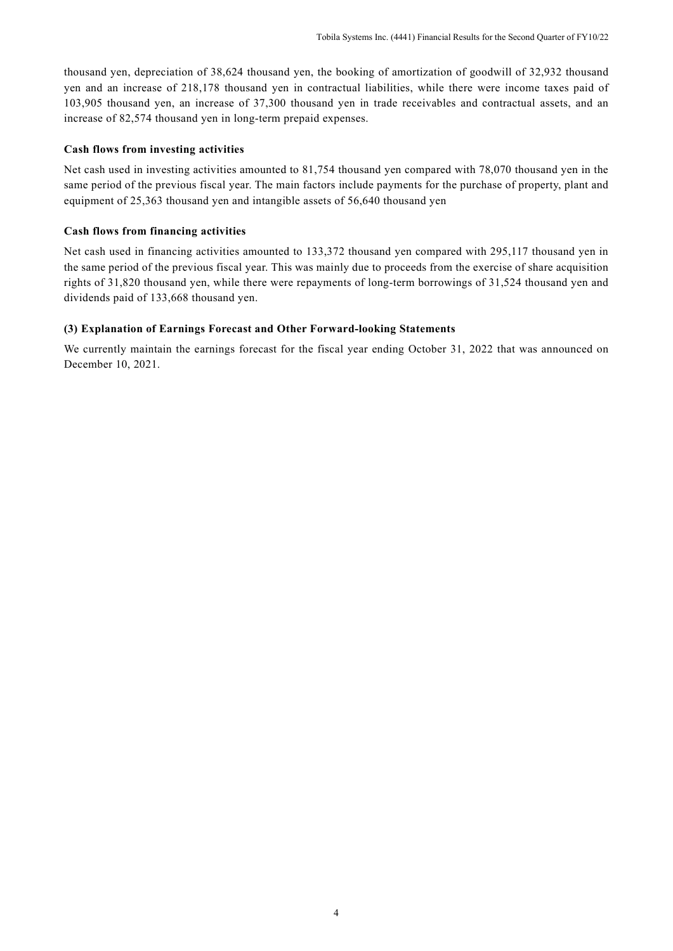thousand yen, depreciation of 38,624 thousand yen, the booking of amortization of goodwill of 32,932 thousand yen and an increase of 218,178 thousand yen in contractual liabilities, while there were income taxes paid of 103,905 thousand yen, an increase of 37,300 thousand yen in trade receivables and contractual assets, and an increase of 82,574 thousand yen in long-term prepaid expenses.

# **Cash flows from investing activities**

Net cash used in investing activities amounted to 81,754 thousand yen compared with 78,070 thousand yen in the same period of the previous fiscal year. The main factors include payments for the purchase of property, plant and equipment of 25,363 thousand yen and intangible assets of 56,640 thousand yen

#### **Cash flows from financing activities**

Net cash used in financing activities amounted to 133,372 thousand yen compared with 295,117 thousand yen in the same period of the previous fiscal year. This was mainly due to proceeds from the exercise of share acquisition rights of 31,820 thousand yen, while there were repayments of long-term borrowings of 31,524 thousand yen and dividends paid of 133,668 thousand yen.

#### **(3) Explanation of Earnings Forecast and Other Forward-looking Statements**

We currently maintain the earnings forecast for the fiscal year ending October 31, 2022 that was announced on December 10, 2021.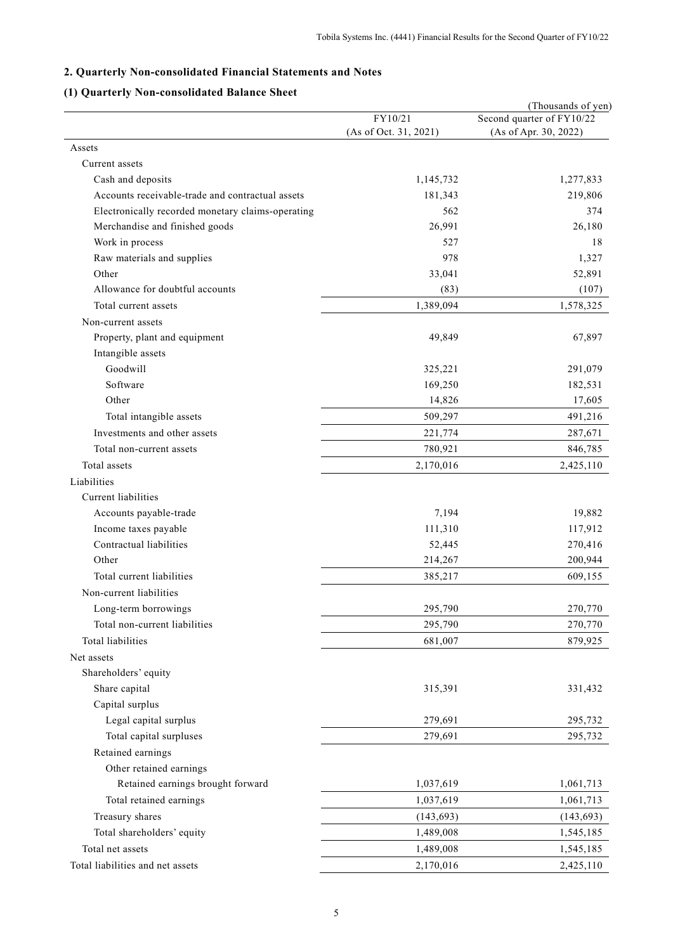# **2. Quarterly Non-consolidated Financial Statements and Notes**

# **(1) Quarterly Non-consolidated Balance Sheet**

|                                                   | FY10/21               | (Thousands of yen)<br>Second quarter of FY10/22 |
|---------------------------------------------------|-----------------------|-------------------------------------------------|
|                                                   | (As of Oct. 31, 2021) | (As of Apr. 30, 2022)                           |
| Assets                                            |                       |                                                 |
| Current assets                                    |                       |                                                 |
| Cash and deposits                                 | 1,145,732             | 1,277,833                                       |
| Accounts receivable-trade and contractual assets  | 181,343               | 219,806                                         |
| Electronically recorded monetary claims-operating | 562                   | 374                                             |
| Merchandise and finished goods                    | 26,991                | 26,180                                          |
| Work in process                                   | 527                   | 18                                              |
| Raw materials and supplies                        | 978                   | 1,327                                           |
| Other                                             | 33,041                | 52,891                                          |
| Allowance for doubtful accounts                   | (83)                  | (107)                                           |
| Total current assets                              | 1,389,094             | 1,578,325                                       |
| Non-current assets                                |                       |                                                 |
| Property, plant and equipment                     | 49,849                | 67,897                                          |
| Intangible assets                                 |                       |                                                 |
| Goodwill                                          | 325,221               | 291,079                                         |
| Software                                          | 169,250               | 182,531                                         |
| Other                                             | 14,826                | 17,605                                          |
| Total intangible assets                           | 509,297               | 491,216                                         |
| Investments and other assets                      | 221,774               | 287,671                                         |
| Total non-current assets                          | 780,921               | 846,785                                         |
| Total assets                                      | 2,170,016             | 2,425,110                                       |
| Liabilities                                       |                       |                                                 |
| Current liabilities                               |                       |                                                 |
| Accounts payable-trade                            | 7,194                 | 19,882                                          |
| Income taxes payable                              | 111,310               | 117,912                                         |
| Contractual liabilities                           | 52,445                | 270,416                                         |
| Other                                             | 214,267               | 200,944                                         |
| Total current liabilities                         | 385,217               | 609,155                                         |
| Non-current liabilities                           |                       |                                                 |
| Long-term borrowings                              | 295,790               | 270,770                                         |
| Total non-current liabilities                     | 295,790               | 270,770                                         |
| <b>Total liabilities</b>                          | 681,007               | 879,925                                         |
| Net assets                                        |                       |                                                 |
| Shareholders' equity                              |                       |                                                 |
| Share capital                                     | 315,391               | 331,432                                         |
| Capital surplus                                   |                       |                                                 |
| Legal capital surplus                             | 279,691               | 295,732                                         |
| Total capital surpluses                           | 279,691               | 295,732                                         |
| Retained earnings                                 |                       |                                                 |
| Other retained earnings                           |                       |                                                 |
| Retained earnings brought forward                 | 1,037,619             | 1,061,713                                       |
| Total retained earnings                           | 1,037,619             | 1,061,713                                       |
| Treasury shares                                   | (143, 693)            | (143, 693)                                      |
| Total shareholders' equity                        | 1,489,008             | 1,545,185                                       |
| Total net assets                                  | 1,489,008             | 1,545,185                                       |
| Total liabilities and net assets                  | 2,170,016             | 2,425,110                                       |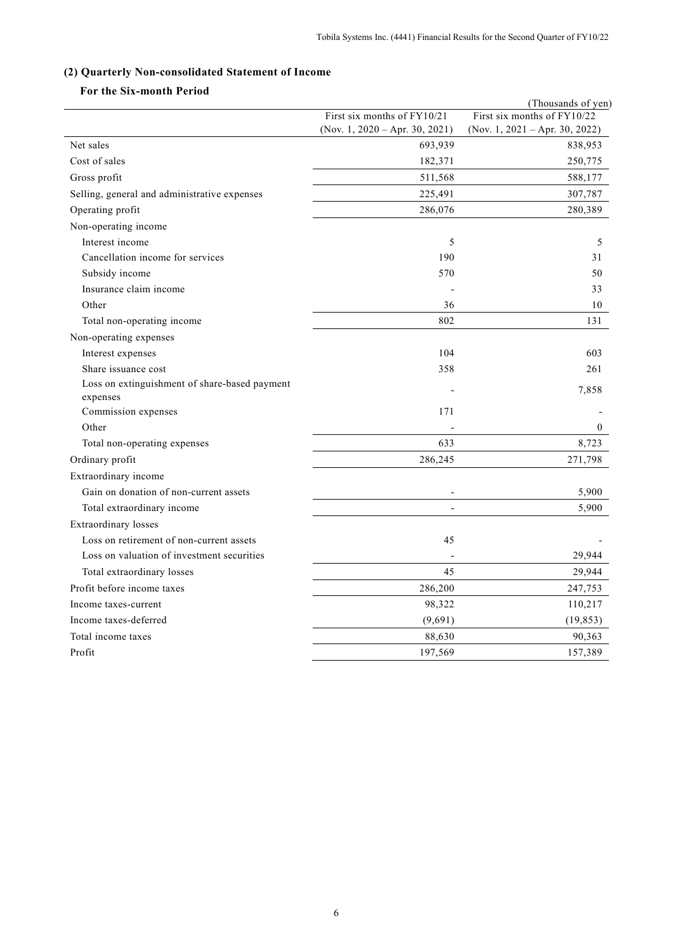# **(2) Quarterly Non-consolidated Statement of Income**

# **For the Six-month Period**

|                                               |                                | (Thousands of yen)             |
|-----------------------------------------------|--------------------------------|--------------------------------|
|                                               | First six months of FY10/21    | First six months of FY10/22    |
|                                               | (Nov. 1, 2020 – Apr. 30, 2021) | (Nov. 1, 2021 – Apr. 30, 2022) |
| Net sales                                     | 693,939                        | 838,953                        |
| Cost of sales                                 | 182,371                        | 250,775                        |
| Gross profit                                  | 511,568                        | 588,177                        |
| Selling, general and administrative expenses  | 225,491                        | 307,787                        |
| Operating profit                              | 286,076                        | 280,389                        |
| Non-operating income                          |                                |                                |
| Interest income                               | 5                              | 5                              |
| Cancellation income for services              | 190                            | 31                             |
| Subsidy income                                | 570                            | 50                             |
| Insurance claim income                        |                                | 33                             |
| Other                                         | 36                             | 10                             |
| Total non-operating income                    | 802                            | 131                            |
| Non-operating expenses                        |                                |                                |
| Interest expenses                             | 104                            | 603                            |
| Share issuance cost                           | 358                            | 261                            |
| Loss on extinguishment of share-based payment |                                | 7,858                          |
| expenses                                      |                                |                                |
| Commission expenses                           | 171                            |                                |
| Other                                         |                                | $\overline{0}$                 |
| Total non-operating expenses                  | 633                            | 8,723                          |
| Ordinary profit                               | 286,245                        | 271,798                        |
| Extraordinary income                          |                                |                                |
| Gain on donation of non-current assets        | $\overline{a}$                 | 5,900                          |
| Total extraordinary income                    |                                | 5,900                          |
| <b>Extraordinary</b> losses                   |                                |                                |
| Loss on retirement of non-current assets      | 45                             |                                |
| Loss on valuation of investment securities    |                                | 29,944                         |
| Total extraordinary losses                    | 45                             | 29,944                         |
| Profit before income taxes                    | 286,200                        | 247,753                        |
| Income taxes-current                          | 98,322                         | 110,217                        |
| Income taxes-deferred                         | (9,691)                        | (19, 853)                      |
| Total income taxes                            | 88,630                         | 90,363                         |
| Profit                                        | 197,569                        | 157,389                        |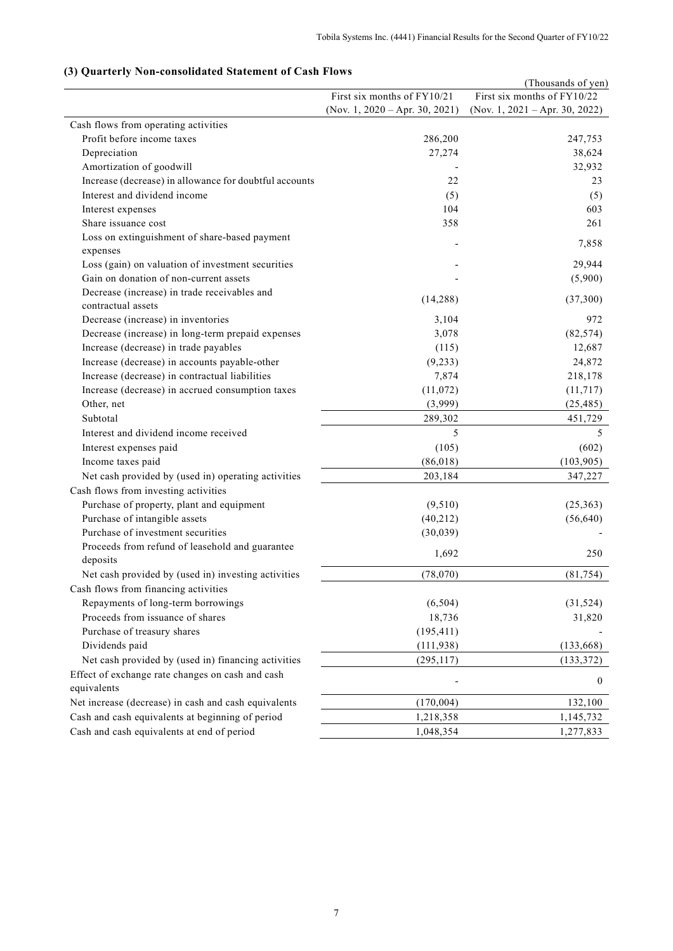# (Thousands of yen) First six months of FY10/21 (Nov. 1, 2020 – Apr. 30, 2021) First six months of FY10/22 (Nov. 1, 2021 – Apr. 30, 2022) Cash flows from operating activities Profit before income taxes 286,200 247,753 Depreciation 27,274 38,624 Amortization of goodwill and the set of the set of the set of the set of the set of the set of the set of the set of the set of the set of the set of the set of the set of the set of the set of the set of the set of the se Increase (decrease) in allowance for doubtful accounts 22 23 23 Interest and dividend income (5) (5) (5) Interest expenses 603 Share issuance cost 358 261 Loss on extinguishment of share-based payment expenses and changement of share sales payment. Loss (gain) on valuation of investment securities - 29,944 Gain on donation of non-current assets  $(5,900)$ Decrease (increase) in trade receivables and  $\frac{1}{4,288}$  (14,288) (37,300) (37,300) Decrease (increase) in inventories 3,104 972 Decrease (increase) in long-term prepaid expenses 3,078 (82,574) Increase (decrease) in trade payables (115) 12,687 Increase (decrease) in accounts payable-other (9,233) 24,872 Increase (decrease) in contractual liabilities 7,874 218,178 Increase (decrease) in accrued consumption taxes (11,072) (11,717) Other, net (3,999) (25,485) Subtotal 289,302 451,729 Interest and dividend income received 5 5 5 5 5 5 5 5 6 7 7 8 7 8 7 7 8 7 7 8 7 7 8 7 8 7 7 8 7 7 8 7 8 7 8 7 8 7 8 7 8 7 8 7 8 7 8 7 8 7 8 7 8 7 8 7 8 7 8 7 8 7 8 7 8 7 8 7 8 7 8 7 8 7 8 7 8 7 8 7 8 7 8 7 8 7 8 7 8 7 8 7 Interest expenses paid (105) (602) Income taxes paid (86,018) (103,905) (103,905) Net cash provided by (used in) operating activities 203,184 347,227 Cash flows from investing activities Purchase of property, plant and equipment (9,510) (25,363) Purchase of intangible assets (40,212) (56,640) Purchase of investment securities (30,039) Proceeds from refund of leasehold and guarantee deposits 1,692 250 Net cash provided by (used in) investing activities (78,070) (81,754) Cash flows from financing activities Repayments of long-term borrowings (6,504) (31,524) Proceeds from issuance of shares 18,736 31,820 Purchase of treasury shares (195,411) Dividends paid (111,938) (133,668) Net cash provided by (used in) financing activities (295,117) (133,372) Effect of exchange rate changes on cash and cash equivalents of exempts on each and each state of the contract of exempts of  $\sim$  0 Net increase (decrease) in cash and cash equivalents (170,004) (170,004) 132,100 Cash and cash equivalents at beginning of period 1,218,358 1,145,732 Cash and cash equivalents at end of period 1,048,354 1,277,833

#### **(3) Quarterly Non-consolidated Statement of Cash Flows**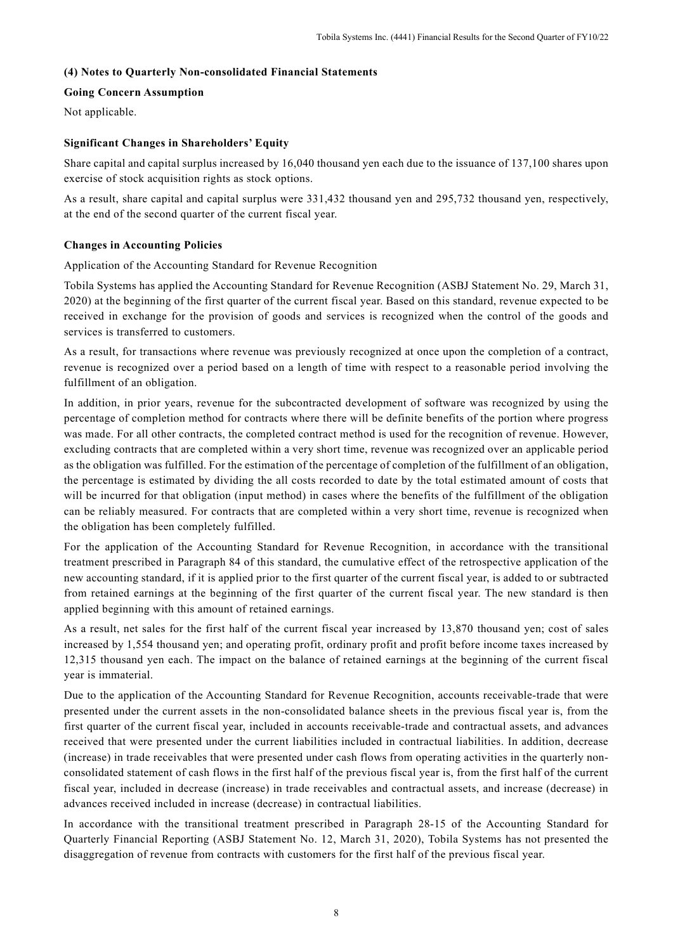#### **(4) Notes to Quarterly Non-consolidated Financial Statements**

#### **Going Concern Assumption**

Not applicable.

# **Significant Changes in Shareholders' Equity**

Share capital and capital surplus increased by 16,040 thousand yen each due to the issuance of 137,100 shares upon exercise of stock acquisition rights as stock options.

As a result, share capital and capital surplus were 331,432 thousand yen and 295,732 thousand yen, respectively, at the end of the second quarter of the current fiscal year.

#### **Changes in Accounting Policies**

Application of the Accounting Standard for Revenue Recognition

Tobila Systems has applied the Accounting Standard for Revenue Recognition (ASBJ Statement No. 29, March 31, 2020) at the beginning of the first quarter of the current fiscal year. Based on this standard, revenue expected to be received in exchange for the provision of goods and services is recognized when the control of the goods and services is transferred to customers.

As a result, for transactions where revenue was previously recognized at once upon the completion of a contract, revenue is recognized over a period based on a length of time with respect to a reasonable period involving the fulfillment of an obligation.

In addition, in prior years, revenue for the subcontracted development of software was recognized by using the percentage of completion method for contracts where there will be definite benefits of the portion where progress was made. For all other contracts, the completed contract method is used for the recognition of revenue. However, excluding contracts that are completed within a very short time, revenue was recognized over an applicable period as the obligation was fulfilled. For the estimation of the percentage of completion of the fulfillment of an obligation, the percentage is estimated by dividing the all costs recorded to date by the total estimated amount of costs that will be incurred for that obligation (input method) in cases where the benefits of the fulfillment of the obligation can be reliably measured. For contracts that are completed within a very short time, revenue is recognized when the obligation has been completely fulfilled.

For the application of the Accounting Standard for Revenue Recognition, in accordance with the transitional treatment prescribed in Paragraph 84 of this standard, the cumulative effect of the retrospective application of the new accounting standard, if it is applied prior to the first quarter of the current fiscal year, is added to or subtracted from retained earnings at the beginning of the first quarter of the current fiscal year. The new standard is then applied beginning with this amount of retained earnings.

As a result, net sales for the first half of the current fiscal year increased by 13,870 thousand yen; cost of sales increased by 1,554 thousand yen; and operating profit, ordinary profit and profit before income taxes increased by 12,315 thousand yen each. The impact on the balance of retained earnings at the beginning of the current fiscal year is immaterial.

Due to the application of the Accounting Standard for Revenue Recognition, accounts receivable-trade that were presented under the current assets in the non-consolidated balance sheets in the previous fiscal year is, from the first quarter of the current fiscal year, included in accounts receivable-trade and contractual assets, and advances received that were presented under the current liabilities included in contractual liabilities. In addition, decrease (increase) in trade receivables that were presented under cash flows from operating activities in the quarterly nonconsolidated statement of cash flows in the first half of the previous fiscal year is, from the first half of the current fiscal year, included in decrease (increase) in trade receivables and contractual assets, and increase (decrease) in advances received included in increase (decrease) in contractual liabilities.

In accordance with the transitional treatment prescribed in Paragraph 28-15 of the Accounting Standard for Quarterly Financial Reporting (ASBJ Statement No. 12, March 31, 2020), Tobila Systems has not presented the disaggregation of revenue from contracts with customers for the first half of the previous fiscal year.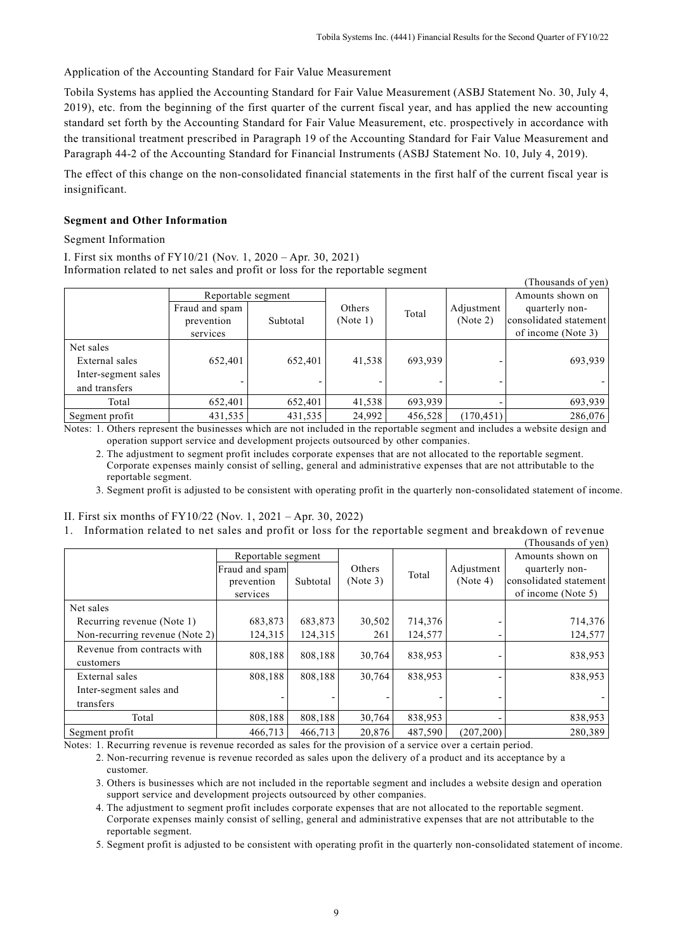Application of the Accounting Standard for Fair Value Measurement

Tobila Systems has applied the Accounting Standard for Fair Value Measurement (ASBJ Statement No. 30, July 4, 2019), etc. from the beginning of the first quarter of the current fiscal year, and has applied the new accounting standard set forth by the Accounting Standard for Fair Value Measurement, etc. prospectively in accordance with the transitional treatment prescribed in Paragraph 19 of the Accounting Standard for Fair Value Measurement and Paragraph 44-2 of the Accounting Standard for Financial Instruments (ASBJ Statement No. 10, July 4, 2019).

The effect of this change on the non-consolidated financial statements in the first half of the current fiscal year is insignificant.

# **Segment and Other Information**

#### Segment Information

I. First six months of FY10/21 (Nov. 1, 2020 – Apr. 30, 2021) Information related to net sales and profit or loss for the reportable segment

|                     |                    |          |          |         |            | (Thousands of yen)     |
|---------------------|--------------------|----------|----------|---------|------------|------------------------|
|                     | Reportable segment |          |          |         |            | Amounts shown on       |
|                     | Fraud and spam     |          | Others   | Total   | Adjustment | quarterly non-         |
|                     | prevention         | Subtotal | (Note 1) |         | (Note 2)   | consolidated statement |
|                     | services           |          |          |         |            | of income (Note 3)     |
| Net sales           |                    |          |          |         |            |                        |
| External sales      | 652,401            | 652,401  | 41,538   | 693,939 |            | 693,939                |
| Inter-segment sales |                    |          |          |         |            |                        |
| and transfers       |                    |          |          |         |            |                        |
| Total               | 652,401            | 652,401  | 41,538   | 693,939 |            | 693,939                |
| Segment profit      | 431,535            | 431,535  | 24,992   | 456,528 | (170, 451) | 286,076                |

Notes: 1. Others represent the businesses which are not included in the reportable segment and includes a website design and operation support service and development projects outsourced by other companies.

2. The adjustment to segment profit includes corporate expenses that are not allocated to the reportable segment. Corporate expenses mainly consist of selling, general and administrative expenses that are not attributable to the reportable segment.

3. Segment profit is adjusted to be consistent with operating profit in the quarterly non-consolidated statement of income.

# II. First six months of FY10/22 (Nov. 1, 2021 – Apr. 30, 2022)

1. Information related to net sales and profit or loss for the reportable segment and breakdown of revenue

|                                |                    |          |          |         |            | (Thousands of yen)     |
|--------------------------------|--------------------|----------|----------|---------|------------|------------------------|
|                                | Reportable segment |          |          |         |            | Amounts shown on       |
|                                | Fraud and spam     |          | Others   | Total   | Adjustment | quarterly non-         |
|                                | prevention         | Subtotal | (Note 3) |         | (Note 4)   | consolidated statement |
|                                | services           |          |          |         |            | of income (Note 5)     |
| Net sales                      |                    |          |          |         |            |                        |
| Recurring revenue (Note 1)     | 683,873            | 683,873  | 30,502   | 714,376 |            | 714,376                |
| Non-recurring revenue (Note 2) | 124,315            | 124,315  | 261      | 124,577 |            | 124,577                |
| Revenue from contracts with    | 808,188            | 808.188  | 30,764   | 838,953 |            | 838,953                |
| customers                      |                    |          |          |         |            |                        |
| External sales                 | 808,188            | 808,188  | 30,764   | 838,953 |            | 838,953                |
| Inter-segment sales and        |                    |          |          |         |            |                        |
| transfers                      |                    |          |          |         |            |                        |
| Total                          | 808,188            | 808,188  | 30,764   | 838,953 |            | 838,953                |
| Segment profit                 | 466,713            | 466,713  | 20,876   | 487,590 | (207, 200) | 280,389                |

Notes: 1. Recurring revenue is revenue recorded as sales for the provision of a service over a certain period.

2. Non-recurring revenue is revenue recorded as sales upon the delivery of a product and its acceptance by a customer.

3. Others is businesses which are not included in the reportable segment and includes a website design and operation support service and development projects outsourced by other companies.

4. The adjustment to segment profit includes corporate expenses that are not allocated to the reportable segment. Corporate expenses mainly consist of selling, general and administrative expenses that are not attributable to the reportable segment.

5. Segment profit is adjusted to be consistent with operating profit in the quarterly non-consolidated statement of income.